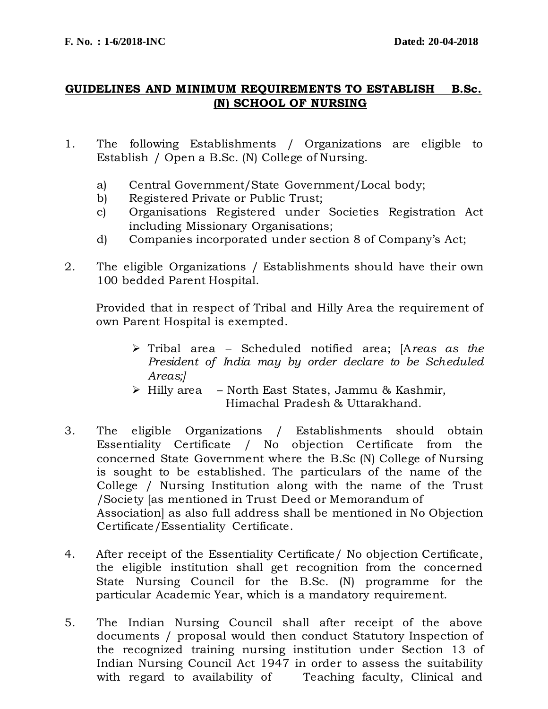## **GUIDELINES AND MINIMUM REQUIREMENTS TO ESTABLISH B.Sc. (N) SCHOOL OF NURSING**

- 1. The following Establishments / Organizations are eligible to Establish / Open a B.Sc. (N) College of Nursing.
	- a) Central Government/State Government/Local body;
	- b) Registered Private or Public Trust;
	- c) Organisations Registered under Societies Registration Act including Missionary Organisations;
	- d) Companies incorporated under section 8 of Company's Act;
- 2. The eligible Organizations / Establishments should have their own 100 bedded Parent Hospital.

Provided that in respect of Tribal and Hilly Area the requirement of own Parent Hospital is exempted.

- Tribal area Scheduled notified area; [A*reas as the President of India may by order declare to be Scheduled Areas;]*
- $\triangleright$  Hilly area North East States, Jammu & Kashmir, Himachal Pradesh & Uttarakhand.
- 3. The eligible Organizations / Establishments should obtain Essentiality Certificate / No objection Certificate from the concerned State Government where the B.Sc (N) College of Nursing is sought to be established. The particulars of the name of the College / Nursing Institution along with the name of the Trust /Society [as mentioned in Trust Deed or Memorandum of Association] as also full address shall be mentioned in No Objection Certificate/Essentiality Certificate.
- 4. After receipt of the Essentiality Certificate/ No objection Certificate, the eligible institution shall get recognition from the concerned State Nursing Council for the B.Sc. (N) programme for the particular Academic Year, which is a mandatory requirement.
- 5. The Indian Nursing Council shall after receipt of the above documents / proposal would then conduct Statutory Inspection of the recognized training nursing institution under Section 13 of Indian Nursing Council Act 1947 in order to assess the suitability with regard to availability of Teaching faculty, Clinical and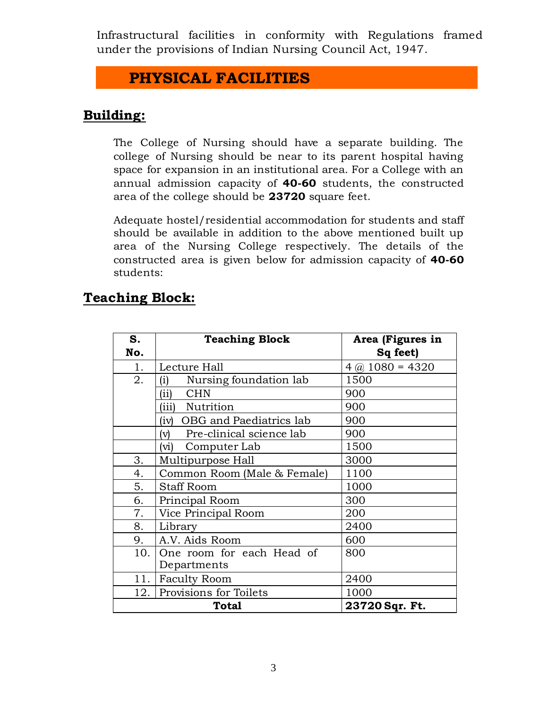Infrastructural facilities in conformity with Regulations framed under the provisions of Indian Nursing Council Act, 1947.

# **PHYSICAL FACILITIES**

## **Building:**

The College of Nursing should have a separate building. The college of Nursing should be near to its parent hospital having space for expansion in an institutional area. For a College with an annual admission capacity of **40-60** students, the constructed area of the college should be **23720** square feet.

Adequate hostel/residential accommodation for students and staff should be available in addition to the above mentioned built up area of the Nursing College respectively. The details of the constructed area is given below for admission capacity of **40-60** students:

# **Teaching Block:**

| S.                             | <b>Teaching Block</b>                      | Area (Figures in      |  |  |
|--------------------------------|--------------------------------------------|-----------------------|--|--|
| No.                            |                                            | Sq feet)              |  |  |
| 1.                             | Lecture Hall                               | $4$ (a) $1080 = 4320$ |  |  |
| 2.                             | Nursing foundation lab<br>$\rm(i)$         | 1500                  |  |  |
|                                | <b>CHN</b><br>(ii)                         | 900                   |  |  |
|                                | (iii)<br>Nutrition                         | 900                   |  |  |
|                                | OBG and Paediatrics lab<br>(iv)            | 900                   |  |  |
|                                | Pre-clinical science lab<br>V)             | 900                   |  |  |
|                                | Computer Lab<br>$(\overline{\mathrm{vi}})$ | 1500                  |  |  |
| 3.                             | Multipurpose Hall                          | 3000                  |  |  |
| 4.                             | Common Room (Male & Female)                | 1100                  |  |  |
| 5.                             | <b>Staff Room</b>                          | 1000                  |  |  |
| 6.                             | Principal Room                             | 300                   |  |  |
| 7.                             | Vice Principal Room                        | 200                   |  |  |
| 8.                             | Library                                    | 2400                  |  |  |
| 9.                             | A.V. Aids Room                             | 600                   |  |  |
| 10.                            | One room for each Head of                  | 800                   |  |  |
|                                | Departments                                |                       |  |  |
| 11.                            | <b>Faculty Room</b>                        | 2400                  |  |  |
|                                | 12. Provisions for Toilets                 | 1000                  |  |  |
| 23720 Sqr. Ft.<br><b>Total</b> |                                            |                       |  |  |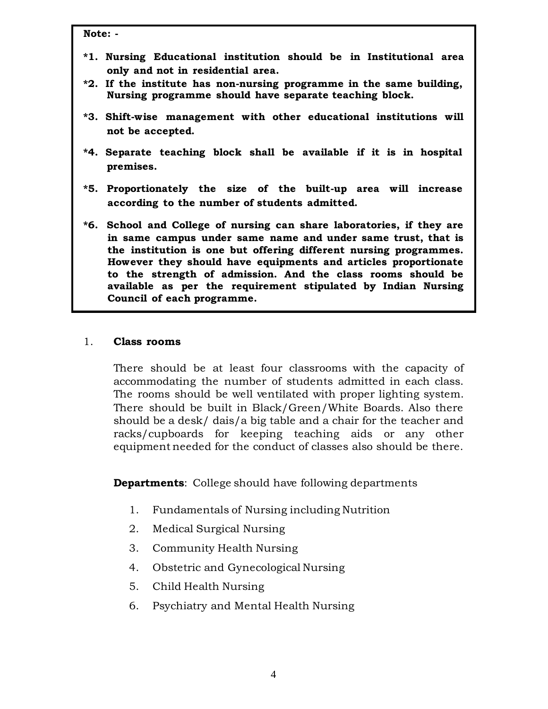**Note: -**

- **\*1. Nursing Educational institution should be in Institutional area only and not in residential area.**
- **\*2. If the institute has non-nursing programme in the same building, Nursing programme should have separate teaching block.**
- **\*3. Shift-wise management with other educational institutions will not be accepted.**
- **\*4. Separate teaching block shall be available if it is in hospital premises.**
- **\*5. Proportionately the size of the built-up area will increase according to the number of students admitted.**
- **\*6. School and College of nursing can share laboratories, if they are in same campus under same name and under same trust, that is the institution is one but offering different nursing programmes. However they should have equipments and articles proportionate to the strength of admission. And the class rooms should be available as per the requirement stipulated by Indian Nursing Council of each programme.**

#### 1. **Class rooms**

There should be at least four classrooms with the capacity of accommodating the number of students admitted in each class. The rooms should be well ventilated with proper lighting system. There should be built in Black/Green/White Boards. Also there should be a desk/ dais/a big table and a chair for the teacher and racks/cupboards for keeping teaching aids or any other equipment needed for the conduct of classes also should be there.

**Departments**: College should have following departments

- 1. Fundamentals of Nursing including Nutrition
- 2. Medical Surgical Nursing
- 3. Community Health Nursing
- 4. Obstetric and Gynecological Nursing
- 5. Child Health Nursing
- 6. Psychiatry and Mental Health Nursing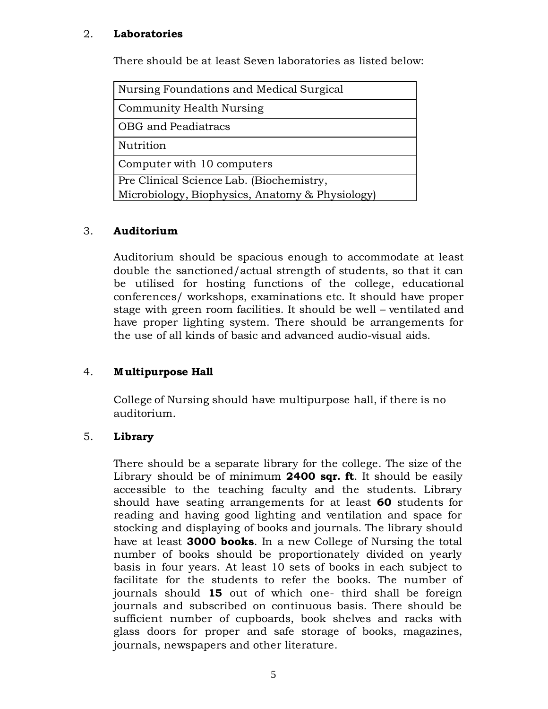#### 2. **Laboratories**

There should be at least Seven laboratories as listed below:

| Nursing Foundations and Medical Surgical        |
|-------------------------------------------------|
| Community Health Nursing                        |
| OBG and Peadiatracs                             |
| Nutrition                                       |
| Computer with 10 computers                      |
| Pre Clinical Science Lab. (Biochemistry,        |
| Microbiology, Biophysics, Anatomy & Physiology) |

#### 3. **Auditorium**

Auditorium should be spacious enough to accommodate at least double the sanctioned/actual strength of students, so that it can be utilised for hosting functions of the college, educational conferences/ workshops, examinations etc. It should have proper stage with green room facilities. It should be well – ventilated and have proper lighting system. There should be arrangements for the use of all kinds of basic and advanced audio-visual aids.

### 4. **Multipurpose Hall**

College of Nursing should have multipurpose hall, if there is no auditorium.

#### 5. **Library**

There should be a separate library for the college. The size of the Library should be of minimum **2400 sqr. ft**. It should be easily accessible to the teaching faculty and the students. Library should have seating arrangements for at least **60** students for reading and having good lighting and ventilation and space for stocking and displaying of books and journals. The library should have at least **3000 books**. In a new College of Nursing the total number of books should be proportionately divided on yearly basis in four years. At least 10 sets of books in each subject to facilitate for the students to refer the books. The number of journals should **15** out of which one- third shall be foreign journals and subscribed on continuous basis. There should be sufficient number of cupboards, book shelves and racks with glass doors for proper and safe storage of books, magazines, journals, newspapers and other literature.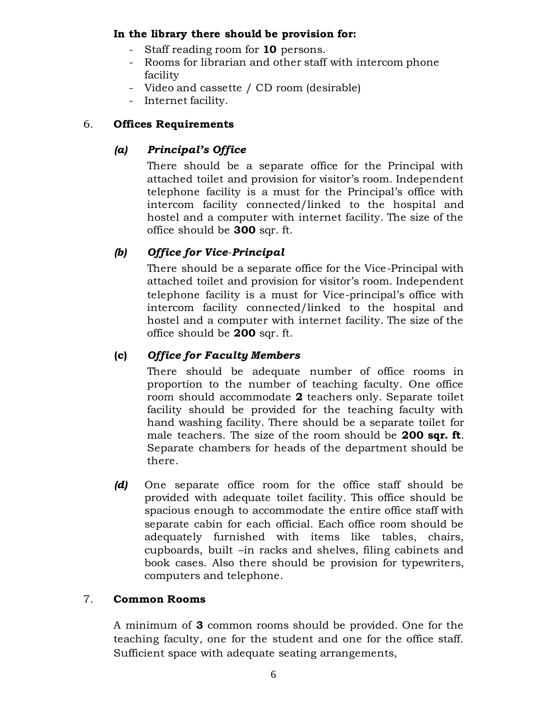#### **In the library there should be provision for:**

- Staff reading room for **10** persons.
- Rooms for librarian and other staff with intercom phone facility
- Video and cassette / CD room (desirable)
- Internet facility.

## 6. **Offices Requirements**

## *(a) Principal's Office*

There should be a separate office for the Principal with attached toilet and provision for visitor's room. Independent telephone facility is a must for the Principal's office with intercom facility connected/linked to the hospital and hostel and a computer with internet facility. The size of the office should be **300** sqr. ft.

## *(b) Office for Vice*-*Principal*

There should be a separate office for the Vice-Principal with attached toilet and provision for visitor's room. Independent telephone facility is a must for Vice-principal's office with intercom facility connected/linked to the hospital and hostel and a computer with internet facility. The size of the office should be **200** sqr. ft.

## **(c)** *Office for Faculty Members*

There should be adequate number of office rooms in proportion to the number of teaching faculty. One office room should accommodate **2** teachers only. Separate toilet facility should be provided for the teaching faculty with hand washing facility. There should be a separate toilet for male teachers. The size of the room should be **200 sqr. ft**. Separate chambers for heads of the department should be there.

*(d)* One separate office room for the office staff should be provided with adequate toilet facility. This office should be spacious enough to accommodate the entire office staff with separate cabin for each official. Each office room should be adequately furnished with items like tables, chairs, cupboards, built –in racks and shelves, filing cabinets and book cases. Also there should be provision for typewriters, computers and telephone.

## 7. **Common Rooms**

A minimum of **3** common rooms should be provided. One for the teaching faculty, one for the student and one for the office staff. Sufficient space with adequate seating arrangements,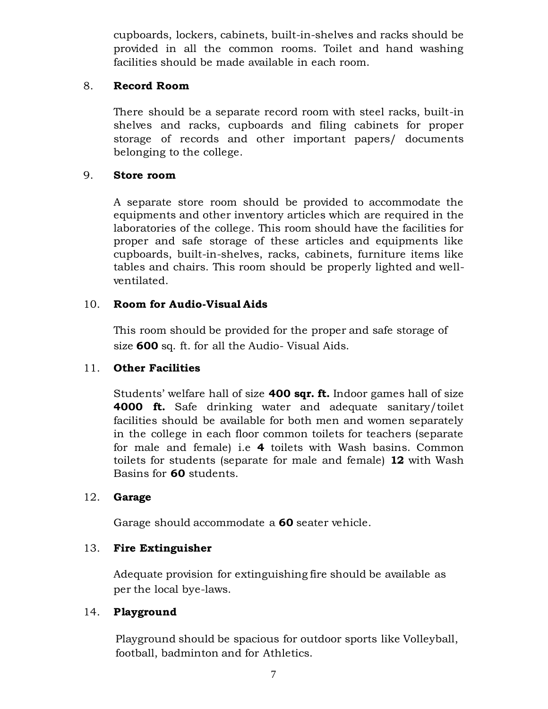cupboards, lockers, cabinets, built-in-shelves and racks should be provided in all the common rooms. Toilet and hand washing facilities should be made available in each room.

#### 8. **Record Room**

There should be a separate record room with steel racks, built-in shelves and racks, cupboards and filing cabinets for proper storage of records and other important papers/ documents belonging to the college.

#### 9. **Store room**

A separate store room should be provided to accommodate the equipments and other inventory articles which are required in the laboratories of the college. This room should have the facilities for proper and safe storage of these articles and equipments like cupboards, built-in-shelves, racks, cabinets, furniture items like tables and chairs. This room should be properly lighted and wellventilated.

### 10. **Room for Audio-Visual Aids**

This room should be provided for the proper and safe storage of size **600** sq. ft. for all the Audio- Visual Aids.

### 11. **Other Facilities**

Students' welfare hall of size **400 sqr. ft.** Indoor games hall of size **4000 ft.** Safe drinking water and adequate sanitary/toilet facilities should be available for both men and women separately in the college in each floor common toilets for teachers (separate for male and female) i.e **4** toilets with Wash basins. Common toilets for students (separate for male and female) **12** with Wash Basins for **60** students.

### 12. **Garage**

Garage should accommodate a **60** seater vehicle.

### 13. **Fire Extinguisher**

Adequate provision for extinguishing fire should be available as per the local bye-laws.

### 14. **P layground**

Playground should be spacious for outdoor sports like Volleyball, football, badminton and for Athletics.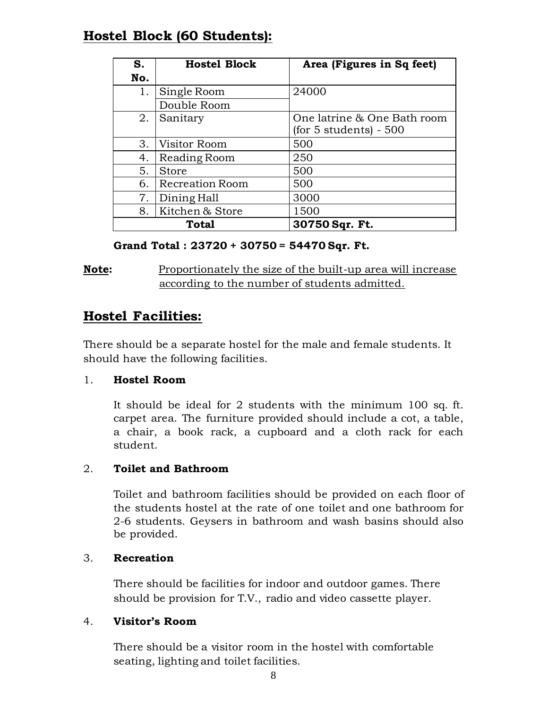## **Hostel Block (60 Students):**

| S.  | <b>Hostel Block</b> | Area (Figures in Sq feet)   |
|-----|---------------------|-----------------------------|
| No. |                     |                             |
| 1.  | Single Room         | 24000                       |
|     | Double Room         |                             |
| 2.  | Sanitary            | One latrine & One Bath room |
|     |                     | (for 5 students) - 500      |
| 3.  | Visitor Room        | 500                         |
| 4.  | Reading Room        | 250                         |
| 5.  | <b>Store</b>        | 500                         |
| 6.  | Recreation Room     | 500                         |
| 7.  | Dining Hall         | 3000                        |
| 8.  | Kitchen & Store     | 1500                        |
|     | Total               | 30750 Sqr. Ft.              |

#### **Grand Total : 23720 + 30750 = 54470 Sqr. Ft.**

**Note:** Proportionately the size of the built-up area will increase according to the number of students admitted.

## **Hostel Facilities:**

There should be a separate hostel for the male and female students. It should have the following facilities.

### 1. **Hostel Room**

It should be ideal for 2 students with the minimum 100 sq. ft. carpet area. The furniture provided should include a cot, a table, a chair, a book rack, a cupboard and a cloth rack for each student.

### 2. **Toilet and Bathroom**

Toilet and bathroom facilities should be provided on each floor of the students hostel at the rate of one toilet and one bathroom for 2-6 students. Geysers in bathroom and wash basins should also be provided.

### 3. **Recreation**

There should be facilities for indoor and outdoor games. There should be provision for T.V., radio and video cassette player.

### 4. **Visitor's Room**

There should be a visitor room in the hostel with comfortable seating, lighting and toilet facilities.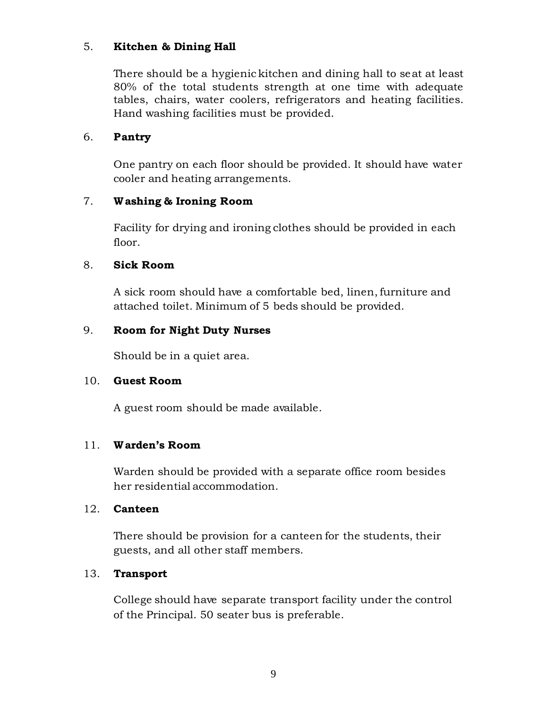### 5. **Kitchen & Dining Hall**

There should be a hygienic kitchen and dining hall to seat at least 80% of the total students strength at one time with adequate tables, chairs, water coolers, refrigerators and heating facilities. Hand washing facilities must be provided.

#### 6. **Pantry**

One pantry on each floor should be provided. It should have water cooler and heating arrangements.

#### 7. **W ashing & Ironing Room**

Facility for drying and ironing clothes should be provided in each floor.

#### 8. **Sick Room**

A sick room should have a comfortable bed, linen, furniture and attached toilet. Minimum of 5 beds should be provided.

#### 9. **Room for Night Duty Nurses**

Should be in a quiet area.

#### 10. **Guest Room**

A guest room should be made available.

#### 11. **W arden's Room**

Warden should be provided with a separate office room besides her residential accommodation.

#### 12. **Canteen**

There should be provision for a canteen for the students, their guests, and all other staff members.

#### 13. **Transport**

College should have separate transport facility under the control of the Principal. 50 seater bus is preferable.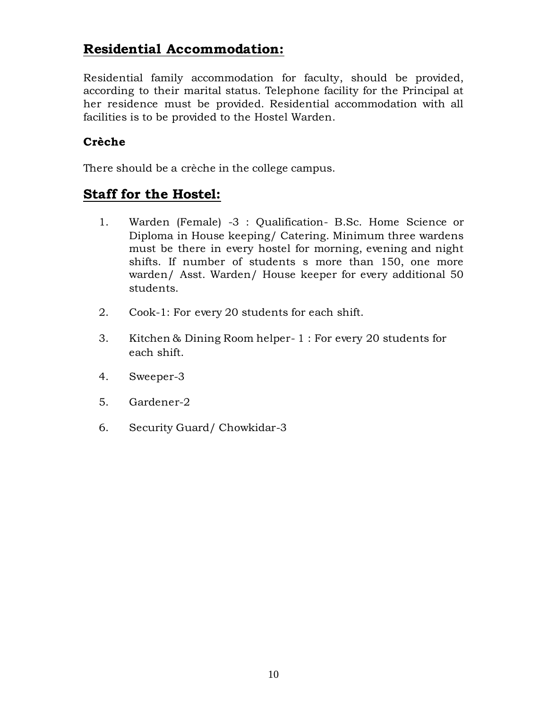## **Residential Accommodation:**

Residential family accommodation for faculty, should be provided, according to their marital status. Telephone facility for the Principal at her residence must be provided. Residential accommodation with all facilities is to be provided to the Hostel Warden.

## **Crèche**

There should be a crèche in the college campus.

## **Staff for the Hostel:**

- 1. Warden (Female) -3 : Qualification- B.Sc. Home Science or Diploma in House keeping/ Catering. Minimum three wardens must be there in every hostel for morning, evening and night shifts. If number of students s more than 150, one more warden/ Asst. Warden/ House keeper for every additional 50 students.
- 2. Cook-1: For every 20 students for each shift.
- 3. Kitchen & Dining Room helper- 1 : For every 20 students for each shift.
- 4. Sweeper-3
- 5. Gardener-2
- 6. Security Guard/ Chowkidar-3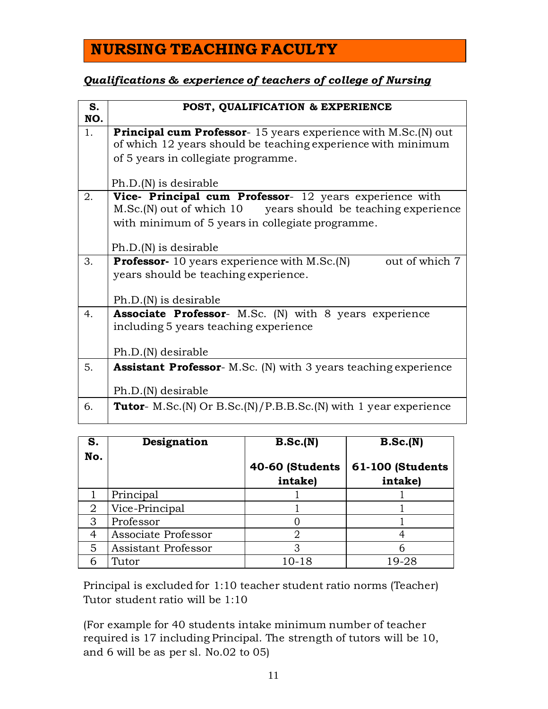# **NURSING TEACHING FACULTY**

## *Qualifications & experience of teachers of college of Nursing*

| S.<br>NO. | POST, QUALIFICATION & EXPERIENCE                                                                                                      |  |  |  |
|-----------|---------------------------------------------------------------------------------------------------------------------------------------|--|--|--|
| 1.        | <b>Principal cum Professor</b> -15 years experience with M.Sc.(N) out<br>of which 12 years should be teaching experience with minimum |  |  |  |
|           | of 5 years in collegiate programme.                                                                                                   |  |  |  |
|           | $Ph.D.(N)$ is desirable                                                                                                               |  |  |  |
| 2.        | Vice- Principal cum Professor- 12 years experience with                                                                               |  |  |  |
|           | M.Sc.(N) out of which 10 years should be teaching experience                                                                          |  |  |  |
|           | with minimum of 5 years in collegiate programme.                                                                                      |  |  |  |
|           | $Ph.D.(N)$ is desirable                                                                                                               |  |  |  |
| 3.        | <b>Professor-</b> 10 years experience with M.Sc. (N)<br>out of which 7                                                                |  |  |  |
|           | years should be teaching experience.                                                                                                  |  |  |  |
|           | $Ph.D.(N)$ is desirable                                                                                                               |  |  |  |
| 4.        | <b>Associate Professor-</b> M.Sc. (N) with 8 years experience                                                                         |  |  |  |
|           | including 5 years teaching experience                                                                                                 |  |  |  |
|           |                                                                                                                                       |  |  |  |
|           | Ph.D.(N) desirable                                                                                                                    |  |  |  |
| 5.        | <b>Assistant Professor-</b> M.Sc. (N) with 3 years teaching experience                                                                |  |  |  |
|           | Ph.D.(N) desirable                                                                                                                    |  |  |  |
| 6.        | <b>Tutor</b> - M.Sc.(N) Or B.Sc.(N)/P.B.B.Sc.(N) with 1 year experience                                                               |  |  |  |

| S.<br>No.      | Designation         | B.Sc.(N)                   | B.Sc.(N)                    |
|----------------|---------------------|----------------------------|-----------------------------|
|                |                     | 40-60 (Students<br>intake) | 61-100 (Students<br>intake) |
|                | Principal           |                            |                             |
| $\overline{2}$ | Vice-Principal      |                            |                             |
| 3              | Professor           |                            |                             |
| $\overline{4}$ | Associate Professor |                            |                             |
| 5              | Assistant Professor |                            |                             |
|                | Tutor               | 10-18                      | 19-28                       |

Principal is excluded for 1:10 teacher student ratio norms (Teacher) Tutor student ratio will be 1:10

(For example for 40 students intake minimum number of teacher required is 17 including Principal. The strength of tutors will be 10, and 6 will be as per sl. No.02 to 05)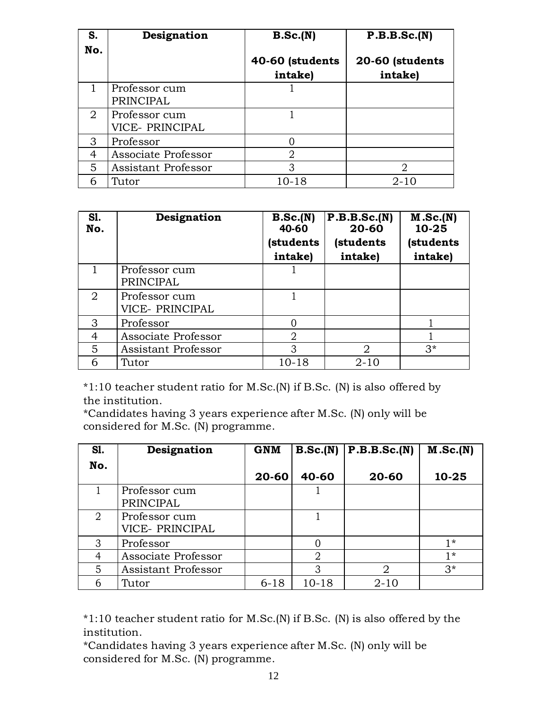| S.                    | Designation                      | B.Sc.(N)                   | P.B.B.Sc.(N)               |
|-----------------------|----------------------------------|----------------------------|----------------------------|
| No.                   |                                  | 40-60 (students<br>intake) | 20-60 (students<br>intake) |
|                       | Professor cum<br>PRINCIPAL       |                            |                            |
| $\mathcal{D}_{\cdot}$ | Professor cum<br>VICE- PRINCIPAL |                            |                            |
| 3                     | Professor                        | $\Omega$                   |                            |
| 4                     | Associate Professor              | 2                          |                            |
| 5                     | <b>Assistant Professor</b>       | 3                          | $\overline{2}$             |
| 6                     | Tutor                            | 10-18                      | $2 - 10$                   |

| <b>S1.</b><br>No.           | Designation                      | B.Sc.(N)<br>40-60<br>(students<br>intake) | P.B.B.Sc.(N)<br>20-60<br>(students<br>intake) | M.Sc.(N)<br>10-25<br>(students<br>intake) |
|-----------------------------|----------------------------------|-------------------------------------------|-----------------------------------------------|-------------------------------------------|
|                             | Professor cum<br>PRINCIPAL       |                                           |                                               |                                           |
| $\mathcal{D}_{\mathcal{L}}$ | Professor cum<br>VICE- PRINCIPAL |                                           |                                               |                                           |
| 3                           | Professor                        |                                           |                                               |                                           |
| 4                           | Associate Professor              | 2                                         |                                               |                                           |
| 5                           | Assistant Professor              | 3                                         | 2                                             | $3*$                                      |
| 6                           | Tutor                            | 10-18                                     | $2 - 10$                                      |                                           |

\*1:10 teacher student ratio for M.Sc.(N) if B.Sc. (N) is also offered by the institution.

\*Candidates having 3 years experience after M.Sc. (N) only will be considered for M.Sc. (N) programme.

| <b>S1.</b> | Designation                | <b>GNM</b> | B.Sc.(N)  | P.B.B.Sc.(N) | M.Sc.(N) |
|------------|----------------------------|------------|-----------|--------------|----------|
| No.        |                            |            |           |              |          |
|            |                            | 20-60      | 40-60     | 20-60        | 10-25    |
|            | Professor cum              |            |           |              |          |
|            | PRINCIPAL                  |            |           |              |          |
| 2          | Professor cum              |            |           |              |          |
|            | VICE- PRINCIPAL            |            |           |              |          |
| 3          | Professor                  |            | 0         |              | $1*$     |
| 4          | Associate Professor        |            | 2         |              | $1*$     |
| 5          | <b>Assistant Professor</b> |            | 3         | 2            | $3*$     |
| 6          | Tutor                      | $6 - 18$   | $10 - 18$ | $2 - 10$     |          |

\*1:10 teacher student ratio for M.Sc.(N) if B.Sc. (N) is also offered by the institution.

\*Candidates having 3 years experience after M.Sc. (N) only will be considered for M.Sc. (N) programme.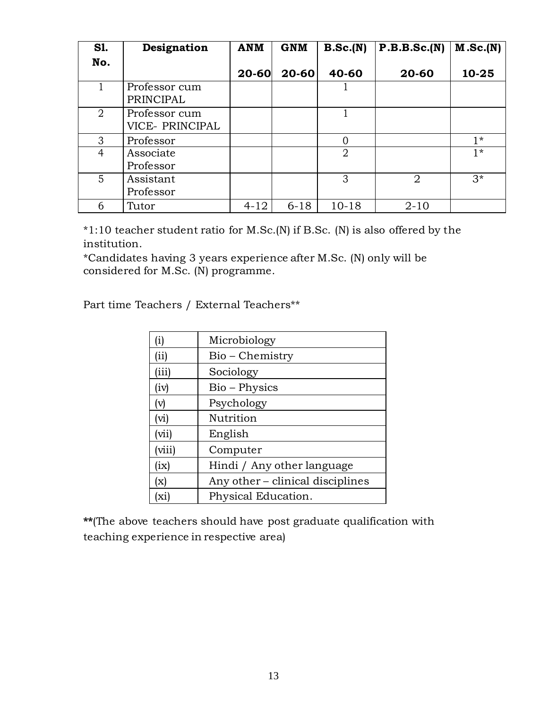| <b>S1.</b>     | Designation                      | <b>ANM</b> | <b>GNM</b> | B.Sc.(N)       | P.B.B.Sc.(N) | M.Sc.(N) |
|----------------|----------------------------------|------------|------------|----------------|--------------|----------|
| No.            |                                  |            |            |                |              |          |
|                |                                  | 20-60      | 20-60      | 40-60          | 20-60        | 10-25    |
|                | Professor cum<br>PRINCIPAL       |            |            |                |              |          |
| $\overline{2}$ | Professor cum<br>VICE- PRINCIPAL |            |            |                |              |          |
| 3              | Professor                        |            |            | $\overline{0}$ |              | $1*$     |
| 4              | Associate                        |            |            | $\overline{2}$ |              | $1*$     |
|                | Professor                        |            |            |                |              |          |
| 5              | Assistant                        |            |            | 3              | 2            | $3*$     |
|                | Professor                        |            |            |                |              |          |
| 6              | Tutor                            | $4 - 12$   | $6 - 18$   | $10 - 18$      | $2 - 10$     |          |

\*1:10 teacher student ratio for M.Sc.(N) if B.Sc. (N) is also offered by the institution.

\*Candidates having 3 years experience after M.Sc. (N) only will be considered for M.Sc. (N) programme.

Part time Teachers / External Teachers\*\*

| (i)    | Microbiology                     |
|--------|----------------------------------|
| (iii)  | Bio – Chemistry                  |
| (iii)  | Sociology                        |
| (iv)   | Bio – Physics                    |
| (v)    | Psychology                       |
| (vi)   | Nutrition                        |
| (vii)  | English                          |
| (viii) | Computer                         |
| (ix)   | Hindi / Any other language       |
| (x)    | Any other – clinical disciplines |
| (xi)   | Physical Education.              |

**\*\***(The above teachers should have post graduate qualification with teaching experience in respective area)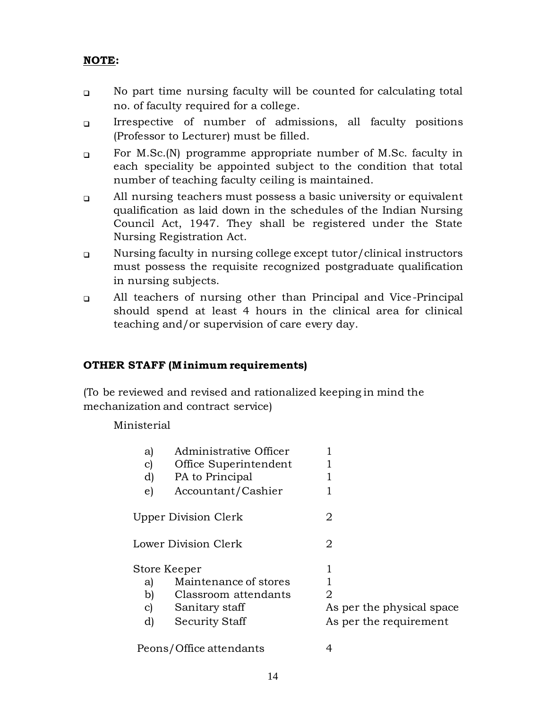## **NOTE:**

- $\Box$ No part time nursing faculty will be counted for calculating total no. of faculty required for a college.
- $\Box$ Irrespective of number of admissions, all faculty positions (Professor to Lecturer) must be filled.
- $\Box$ For M.Sc.(N) programme appropriate number of M.Sc. faculty in each speciality be appointed subject to the condition that total number of teaching faculty ceiling is maintained.
- $\Box$ All nursing teachers must possess a basic university or equivalent qualification as laid down in the schedules of the Indian Nursing Council Act, 1947. They shall be registered under the State Nursing Registration Act.
- $\Box$ Nursing faculty in nursing college except tutor/clinical instructors must possess the requisite recognized postgraduate qualification in nursing subjects.
- $\Box$ All teachers of nursing other than Principal and Vice-Principal should spend at least 4 hours in the clinical area for clinical teaching and/or supervision of care every day.

### **OTHER STAFF (M inimum requirements)**

(To be reviewed and revised and rationalized keeping in mind the mechanization and contract service)

Ministerial

| a)<br>$\mathbf{c})$<br>d)<br>e) | Administrative Officer<br>Office Superintendent<br>PA to Principal<br>Accountant/Cashier          |                                                          |
|---------------------------------|---------------------------------------------------------------------------------------------------|----------------------------------------------------------|
|                                 | <b>Upper Division Clerk</b>                                                                       | 2                                                        |
|                                 | Lower Division Clerk                                                                              | 2                                                        |
| a)<br>b)<br>$\mathbf{C}$<br>d)  | Store Keeper<br>Maintenance of stores<br>Classroom attendants<br>Sanitary staff<br>Security Staff | 2<br>As per the physical space<br>As per the requirement |
|                                 | Peons/Office attendants                                                                           | 4                                                        |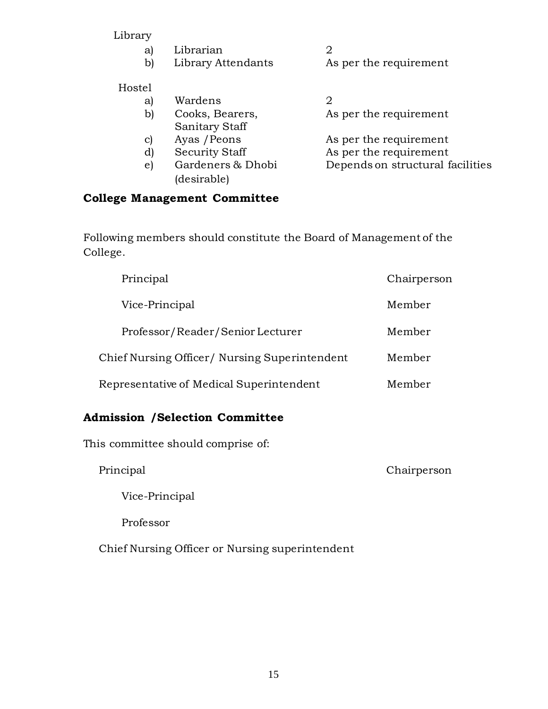#### Library

|    | a) Librarian       |                        |
|----|--------------------|------------------------|
| b) | Library Attendants | As per the requirement |

## Hostel

- a) Wardens 2 b) Cooks, Bearers, As per the requirement Sanitary Staff<br>Ayas / Peons
- 
- 
- (desirable)

c) Ayas / Peons As per the requirement d) Security Staff As per the requirement e) Gardeners & Dhobi Depends on structural facilities

## **College Management Committee**

Following members should constitute the Board of Management of the College.

|                                               | Principal                        | Chairperson |
|-----------------------------------------------|----------------------------------|-------------|
|                                               | Vice-Principal                   | Member      |
|                                               | Professor/Reader/Senior Lecturer | Member      |
| Chief Nursing Officer/ Nursing Superintendent |                                  | Member      |
| Representative of Medical Superintendent      |                                  | Member      |

## **Admission /Selection Committee**

This committee should comprise of:

Principal Chairperson

Vice-Principal

Professor

Chief Nursing Officer or Nursing superintendent